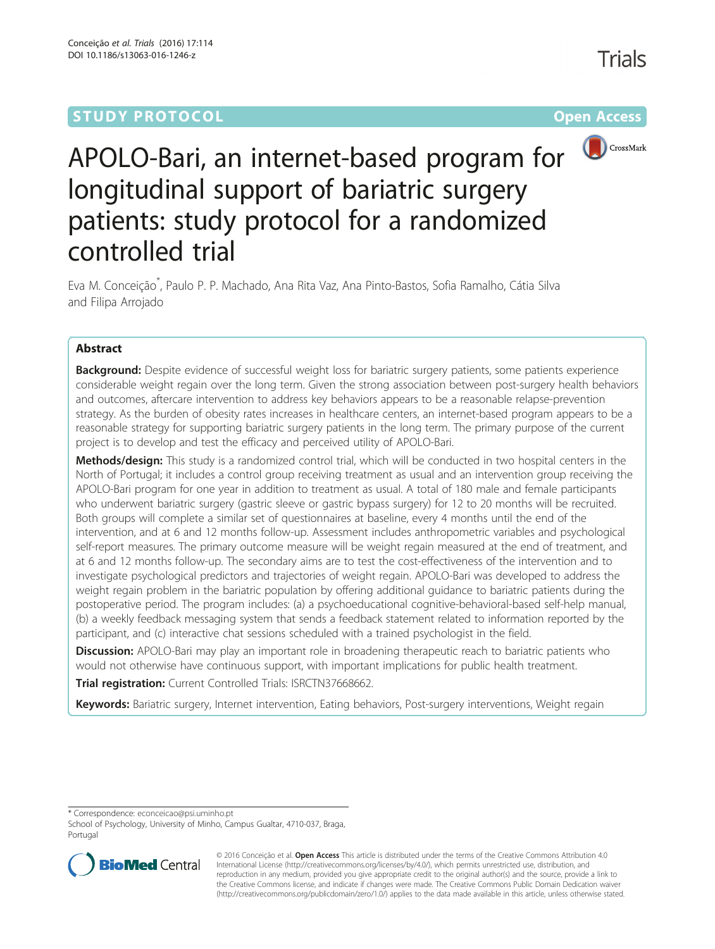# **STUDY PROTOCOL CONSUMING THE CONSUMING OPEN ACCESS**



# APOLO-Bari, an internet-based program for longitudinal support of bariatric surgery patients: study protocol for a randomized controlled trial

Eva M. Conceição<sup>\*</sup>, Paulo P. P. Machado, Ana Rita Vaz, Ana Pinto-Bastos, Sofia Ramalho, Cátia Silva and Filipa Arrojado

## Abstract

Background: Despite evidence of successful weight loss for bariatric surgery patients, some patients experience considerable weight regain over the long term. Given the strong association between post-surgery health behaviors and outcomes, aftercare intervention to address key behaviors appears to be a reasonable relapse-prevention strategy. As the burden of obesity rates increases in healthcare centers, an internet-based program appears to be a reasonable strategy for supporting bariatric surgery patients in the long term. The primary purpose of the current project is to develop and test the efficacy and perceived utility of APOLO-Bari.

Methods/design: This study is a randomized control trial, which will be conducted in two hospital centers in the North of Portugal; it includes a control group receiving treatment as usual and an intervention group receiving the APOLO-Bari program for one year in addition to treatment as usual. A total of 180 male and female participants who underwent bariatric surgery (gastric sleeve or gastric bypass surgery) for 12 to 20 months will be recruited. Both groups will complete a similar set of questionnaires at baseline, every 4 months until the end of the intervention, and at 6 and 12 months follow-up. Assessment includes anthropometric variables and psychological self-report measures. The primary outcome measure will be weight regain measured at the end of treatment, and at 6 and 12 months follow-up. The secondary aims are to test the cost-effectiveness of the intervention and to investigate psychological predictors and trajectories of weight regain. APOLO-Bari was developed to address the weight regain problem in the bariatric population by offering additional guidance to bariatric patients during the postoperative period. The program includes: (a) a psychoeducational cognitive-behavioral-based self-help manual, (b) a weekly feedback messaging system that sends a feedback statement related to information reported by the participant, and (c) interactive chat sessions scheduled with a trained psychologist in the field.

**Discussion:** APOLO-Bari may play an important role in broadening therapeutic reach to bariatric patients who would not otherwise have continuous support, with important implications for public health treatment.

Trial registration: Current Controlled Trials: [ISRCTN37668662](http://www.isrctn.com/ISRCTN37668662).

Keywords: Bariatric surgery, Internet intervention, Eating behaviors, Post-surgery interventions, Weight regain

\* Correspondence: [econceicao@psi.uminho.pt](mailto:econceicao@psi.uminho.pt)

School of Psychology, University of Minho, Campus Gualtar, 4710-037, Braga, Portugal



© 2016 Conceição et al. Open Access This article is distributed under the terms of the Creative Commons Attribution 4.0 International License [\(http://creativecommons.org/licenses/by/4.0/](http://creativecommons.org/licenses/by/4.0/)), which permits unrestricted use, distribution, and reproduction in any medium, provided you give appropriate credit to the original author(s) and the source, provide a link to the Creative Commons license, and indicate if changes were made. The Creative Commons Public Domain Dedication waiver [\(http://creativecommons.org/publicdomain/zero/1.0/](http://creativecommons.org/publicdomain/zero/1.0/)) applies to the data made available in this article, unless otherwise stated.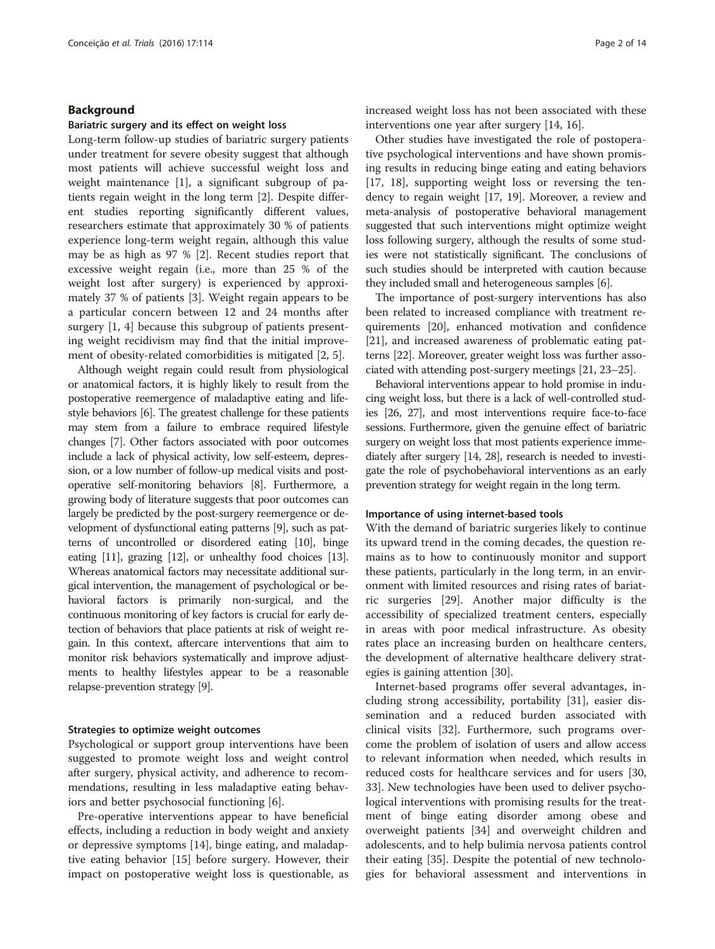#### Background

#### Bariatric surgery and its effect on weight loss

Long-term follow-up studies of bariatric surgery patients under treatment for severe obesity suggest that although most patients will achieve successful weight loss and weight maintenance [\[1](#page-12-0)], a significant subgroup of patients regain weight in the long term [[2](#page-12-0)]. Despite different studies reporting significantly different values, researchers estimate that approximately 30 % of patients experience long-term weight regain, although this value may be as high as 97 % [\[2](#page-12-0)]. Recent studies report that excessive weight regain (i.e., more than 25 % of the weight lost after surgery) is experienced by approximately 37 % of patients [\[3\]](#page-12-0). Weight regain appears to be a particular concern between 12 and 24 months after surgery [\[1](#page-12-0), [4\]](#page-12-0) because this subgroup of patients presenting weight recidivism may find that the initial improvement of obesity-related comorbidities is mitigated [\[2, 5](#page-12-0)].

Although weight regain could result from physiological or anatomical factors, it is highly likely to result from the postoperative reemergence of maladaptive eating and lifestyle behaviors [[6](#page-12-0)]. The greatest challenge for these patients may stem from a failure to embrace required lifestyle changes [[7](#page-12-0)]. Other factors associated with poor outcomes include a lack of physical activity, low self-esteem, depression, or a low number of follow-up medical visits and postoperative self-monitoring behaviors [\[8\]](#page-12-0). Furthermore, a growing body of literature suggests that poor outcomes can largely be predicted by the post-surgery reemergence or development of dysfunctional eating patterns [[9](#page-12-0)], such as patterns of uncontrolled or disordered eating [\[10\]](#page-12-0), binge eating [[11](#page-12-0)], grazing [[12](#page-12-0)], or unhealthy food choices [\[13](#page-12-0)]. Whereas anatomical factors may necessitate additional surgical intervention, the management of psychological or behavioral factors is primarily non-surgical, and the continuous monitoring of key factors is crucial for early detection of behaviors that place patients at risk of weight regain. In this context, aftercare interventions that aim to monitor risk behaviors systematically and improve adjustments to healthy lifestyles appear to be a reasonable relapse-prevention strategy [[9](#page-12-0)].

#### Strategies to optimize weight outcomes

Psychological or support group interventions have been suggested to promote weight loss and weight control after surgery, physical activity, and adherence to recommendations, resulting in less maladaptive eating behaviors and better psychosocial functioning [[6\]](#page-12-0).

Pre-operative interventions appear to have beneficial effects, including a reduction in body weight and anxiety or depressive symptoms [\[14](#page-12-0)], binge eating, and maladaptive eating behavior [\[15](#page-12-0)] before surgery. However, their impact on postoperative weight loss is questionable, as increased weight loss has not been associated with these interventions one year after surgery [[14, 16](#page-12-0)].

Other studies have investigated the role of postoperative psychological interventions and have shown promising results in reducing binge eating and eating behaviors [[17, 18\]](#page-12-0), supporting weight loss or reversing the tendency to regain weight [[17](#page-12-0), [19](#page-12-0)]. Moreover, a review and meta-analysis of postoperative behavioral management suggested that such interventions might optimize weight loss following surgery, although the results of some studies were not statistically significant. The conclusions of such studies should be interpreted with caution because they included small and heterogeneous samples [\[6](#page-12-0)].

The importance of post-surgery interventions has also been related to increased compliance with treatment requirements [\[20\]](#page-12-0), enhanced motivation and confidence [[21](#page-12-0)], and increased awareness of problematic eating patterns [[22](#page-12-0)]. Moreover, greater weight loss was further associated with attending post-surgery meetings [\[21, 23](#page-12-0)–[25\]](#page-12-0).

Behavioral interventions appear to hold promise in inducing weight loss, but there is a lack of well-controlled studies [\[26, 27](#page-12-0)], and most interventions require face-to-face sessions. Furthermore, given the genuine effect of bariatric surgery on weight loss that most patients experience immediately after surgery [\[14, 28\]](#page-12-0), research is needed to investigate the role of psychobehavioral interventions as an early prevention strategy for weight regain in the long term.

#### Importance of using internet-based tools

With the demand of bariatric surgeries likely to continue its upward trend in the coming decades, the question remains as to how to continuously monitor and support these patients, particularly in the long term, in an environment with limited resources and rising rates of bariatric surgeries [[29\]](#page-12-0). Another major difficulty is the accessibility of specialized treatment centers, especially in areas with poor medical infrastructure. As obesity rates place an increasing burden on healthcare centers, the development of alternative healthcare delivery strategies is gaining attention [\[30](#page-12-0)].

Internet-based programs offer several advantages, including strong accessibility, portability [\[31](#page-12-0)], easier dissemination and a reduced burden associated with clinical visits [\[32](#page-12-0)]. Furthermore, such programs overcome the problem of isolation of users and allow access to relevant information when needed, which results in reduced costs for healthcare services and for users [[30](#page-12-0), [33\]](#page-12-0). New technologies have been used to deliver psychological interventions with promising results for the treatment of binge eating disorder among obese and overweight patients [[34](#page-12-0)] and overweight children and adolescents, and to help bulimia nervosa patients control their eating [[35\]](#page-12-0). Despite the potential of new technologies for behavioral assessment and interventions in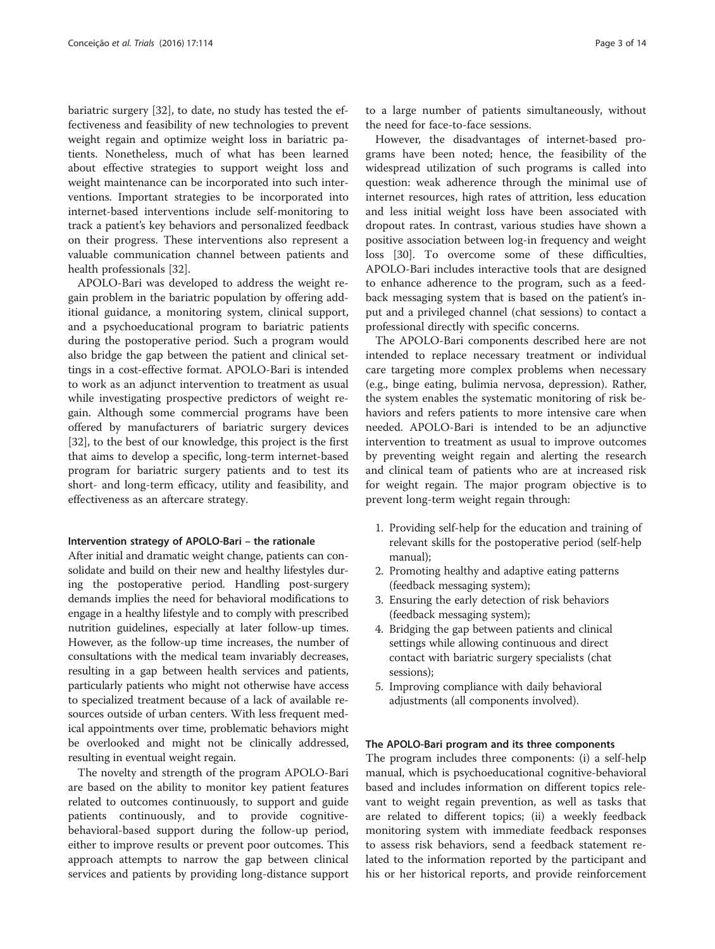bariatric surgery [[32\]](#page-12-0), to date, no study has tested the effectiveness and feasibility of new technologies to prevent weight regain and optimize weight loss in bariatric patients. Nonetheless, much of what has been learned about effective strategies to support weight loss and weight maintenance can be incorporated into such interventions. Important strategies to be incorporated into internet-based interventions include self-monitoring to track a patient's key behaviors and personalized feedback on their progress. These interventions also represent a valuable communication channel between patients and health professionals [[32](#page-12-0)].

APOLO-Bari was developed to address the weight regain problem in the bariatric population by offering additional guidance, a monitoring system, clinical support, and a psychoeducational program to bariatric patients during the postoperative period. Such a program would also bridge the gap between the patient and clinical settings in a cost-effective format. APOLO-Bari is intended to work as an adjunct intervention to treatment as usual while investigating prospective predictors of weight regain. Although some commercial programs have been offered by manufacturers of bariatric surgery devices [[32\]](#page-12-0), to the best of our knowledge, this project is the first that aims to develop a specific, long-term internet-based program for bariatric surgery patients and to test its short- and long-term efficacy, utility and feasibility, and effectiveness as an aftercare strategy.

#### Intervention strategy of APOLO-Bari – the rationale

After initial and dramatic weight change, patients can consolidate and build on their new and healthy lifestyles during the postoperative period. Handling post-surgery demands implies the need for behavioral modifications to engage in a healthy lifestyle and to comply with prescribed nutrition guidelines, especially at later follow-up times. However, as the follow-up time increases, the number of consultations with the medical team invariably decreases, resulting in a gap between health services and patients, particularly patients who might not otherwise have access to specialized treatment because of a lack of available resources outside of urban centers. With less frequent medical appointments over time, problematic behaviors might be overlooked and might not be clinically addressed, resulting in eventual weight regain.

The novelty and strength of the program APOLO-Bari are based on the ability to monitor key patient features related to outcomes continuously, to support and guide patients continuously, and to provide cognitivebehavioral-based support during the follow-up period, either to improve results or prevent poor outcomes. This approach attempts to narrow the gap between clinical services and patients by providing long-distance support to a large number of patients simultaneously, without the need for face-to-face sessions.

However, the disadvantages of internet-based programs have been noted; hence, the feasibility of the widespread utilization of such programs is called into question: weak adherence through the minimal use of internet resources, high rates of attrition, less education and less initial weight loss have been associated with dropout rates. In contrast, various studies have shown a positive association between log-in frequency and weight loss [[30\]](#page-12-0). To overcome some of these difficulties, APOLO-Bari includes interactive tools that are designed to enhance adherence to the program, such as a feedback messaging system that is based on the patient's input and a privileged channel (chat sessions) to contact a professional directly with specific concerns.

The APOLO-Bari components described here are not intended to replace necessary treatment or individual care targeting more complex problems when necessary (e.g., binge eating, bulimia nervosa, depression). Rather, the system enables the systematic monitoring of risk behaviors and refers patients to more intensive care when needed. APOLO-Bari is intended to be an adjunctive intervention to treatment as usual to improve outcomes by preventing weight regain and alerting the research and clinical team of patients who are at increased risk for weight regain. The major program objective is to prevent long-term weight regain through:

- 1. Providing self-help for the education and training of relevant skills for the postoperative period (self-help manual);
- 2. Promoting healthy and adaptive eating patterns (feedback messaging system);
- 3. Ensuring the early detection of risk behaviors (feedback messaging system);
- 4. Bridging the gap between patients and clinical settings while allowing continuous and direct contact with bariatric surgery specialists (chat sessions);
- 5. Improving compliance with daily behavioral adjustments (all components involved).

#### The APOLO-Bari program and its three components

The program includes three components: (i) a self-help manual, which is psychoeducational cognitive-behavioral based and includes information on different topics relevant to weight regain prevention, as well as tasks that are related to different topics; (ii) a weekly feedback monitoring system with immediate feedback responses to assess risk behaviors, send a feedback statement related to the information reported by the participant and his or her historical reports, and provide reinforcement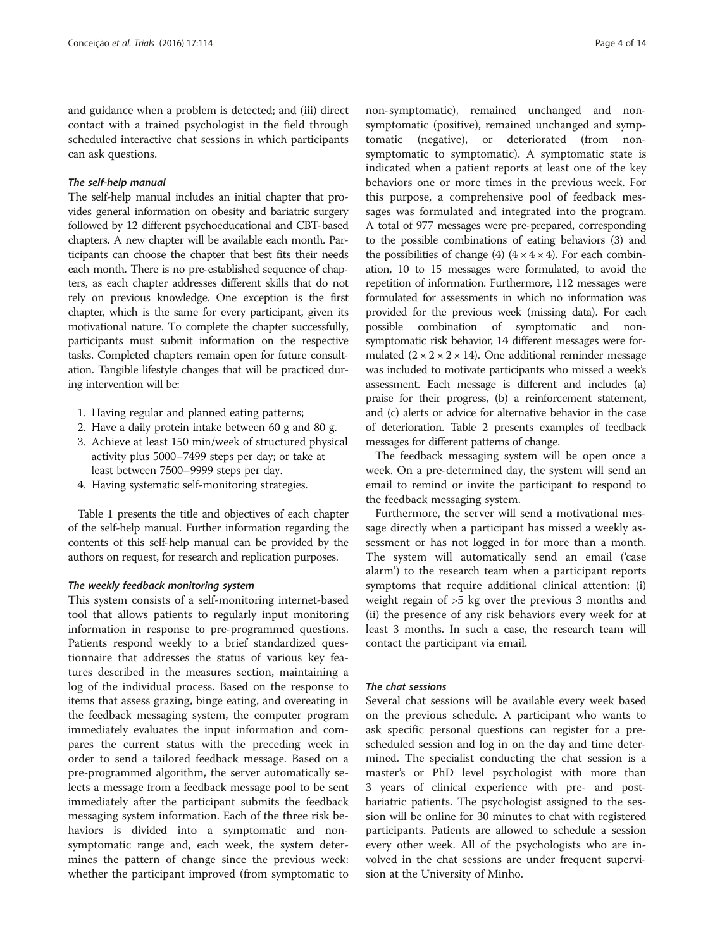and guidance when a problem is detected; and (iii) direct contact with a trained psychologist in the field through scheduled interactive chat sessions in which participants can ask questions.

#### The self-help manual

The self-help manual includes an initial chapter that provides general information on obesity and bariatric surgery followed by 12 different psychoeducational and CBT-based chapters. A new chapter will be available each month. Participants can choose the chapter that best fits their needs each month. There is no pre-established sequence of chapters, as each chapter addresses different skills that do not rely on previous knowledge. One exception is the first chapter, which is the same for every participant, given its motivational nature. To complete the chapter successfully, participants must submit information on the respective tasks. Completed chapters remain open for future consultation. Tangible lifestyle changes that will be practiced during intervention will be:

- 1. Having regular and planned eating patterns;
- 2. Have a daily protein intake between 60 g and 80 g.
- 3. Achieve at least 150 min/week of structured physical activity plus 5000–7499 steps per day; or take at least between 7500–9999 steps per day.
- 4. Having systematic self-monitoring strategies.

Table [1](#page-4-0) presents the title and objectives of each chapter of the self-help manual. Further information regarding the contents of this self-help manual can be provided by the authors on request, for research and replication purposes.

#### The weekly feedback monitoring system

This system consists of a self-monitoring internet-based tool that allows patients to regularly input monitoring information in response to pre-programmed questions. Patients respond weekly to a brief standardized questionnaire that addresses the status of various key features described in the measures section, maintaining a log of the individual process. Based on the response to items that assess grazing, binge eating, and overeating in the feedback messaging system, the computer program immediately evaluates the input information and compares the current status with the preceding week in order to send a tailored feedback message. Based on a pre-programmed algorithm, the server automatically selects a message from a feedback message pool to be sent immediately after the participant submits the feedback messaging system information. Each of the three risk behaviors is divided into a symptomatic and nonsymptomatic range and, each week, the system determines the pattern of change since the previous week: whether the participant improved (from symptomatic to

non-symptomatic), remained unchanged and nonsymptomatic (positive), remained unchanged and symptomatic (negative), or deteriorated (from nonsymptomatic to symptomatic). A symptomatic state is indicated when a patient reports at least one of the key behaviors one or more times in the previous week. For this purpose, a comprehensive pool of feedback messages was formulated and integrated into the program. A total of 977 messages were pre-prepared, corresponding to the possible combinations of eating behaviors (3) and the possibilities of change (4)  $(4 \times 4 \times 4)$ . For each combination, 10 to 15 messages were formulated, to avoid the repetition of information. Furthermore, 112 messages were formulated for assessments in which no information was provided for the previous week (missing data). For each possible combination of symptomatic and nonsymptomatic risk behavior, 14 different messages were formulated  $(2 \times 2 \times 2 \times 14)$ . One additional reminder message was included to motivate participants who missed a week's assessment. Each message is different and includes (a) praise for their progress, (b) a reinforcement statement, and (c) alerts or advice for alternative behavior in the case of deterioration. Table [2](#page-5-0) presents examples of feedback messages for different patterns of change.

The feedback messaging system will be open once a week. On a pre-determined day, the system will send an email to remind or invite the participant to respond to the feedback messaging system.

Furthermore, the server will send a motivational message directly when a participant has missed a weekly assessment or has not logged in for more than a month. The system will automatically send an email ('case alarm') to the research team when a participant reports symptoms that require additional clinical attention: (i) weight regain of >5 kg over the previous 3 months and (ii) the presence of any risk behaviors every week for at least 3 months. In such a case, the research team will contact the participant via email.

#### The chat sessions

Several chat sessions will be available every week based on the previous schedule. A participant who wants to ask specific personal questions can register for a prescheduled session and log in on the day and time determined. The specialist conducting the chat session is a master's or PhD level psychologist with more than 3 years of clinical experience with pre- and postbariatric patients. The psychologist assigned to the session will be online for 30 minutes to chat with registered participants. Patients are allowed to schedule a session every other week. All of the psychologists who are involved in the chat sessions are under frequent supervision at the University of Minho.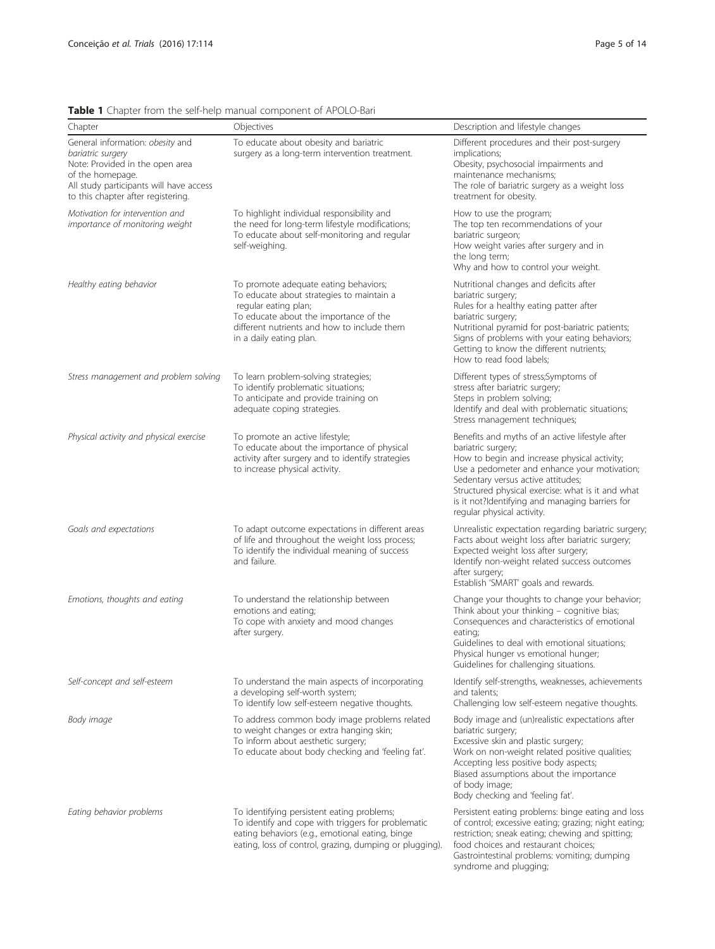<span id="page-4-0"></span>Table 1 Chapter from the self-help manual component of APOLO-Bari

| Chapter                                                                                                                                                                                       | Objectives                                                                                                                                                                                                                     | Description and lifestyle changes                                                                                                                                                                                                                                                                                                                 |  |  |  |
|-----------------------------------------------------------------------------------------------------------------------------------------------------------------------------------------------|--------------------------------------------------------------------------------------------------------------------------------------------------------------------------------------------------------------------------------|---------------------------------------------------------------------------------------------------------------------------------------------------------------------------------------------------------------------------------------------------------------------------------------------------------------------------------------------------|--|--|--|
| General information: obesity and<br>bariatric surgery<br>Note: Provided in the open area<br>of the homepage.<br>All study participants will have access<br>to this chapter after registering. | To educate about obesity and bariatric<br>surgery as a long-term intervention treatment.                                                                                                                                       | Different procedures and their post-surgery<br>implications;<br>Obesity, psychosocial impairments and<br>maintenance mechanisms;<br>The role of bariatric surgery as a weight loss<br>treatment for obesity.                                                                                                                                      |  |  |  |
| Motivation for intervention and<br>importance of monitoring weight                                                                                                                            | To highlight individual responsibility and<br>the need for long-term lifestyle modifications;<br>To educate about self-monitoring and regular<br>self-weighing.                                                                | How to use the program;<br>The top ten recommendations of your<br>bariatric surgeon;<br>How weight varies after surgery and in<br>the long term;<br>Why and how to control your weight.                                                                                                                                                           |  |  |  |
| Healthy eating behavior                                                                                                                                                                       | To promote adequate eating behaviors;<br>To educate about strategies to maintain a<br>regular eating plan;<br>To educate about the importance of the<br>different nutrients and how to include them<br>in a daily eating plan. | Nutritional changes and deficits after<br>bariatric surgery;<br>Rules for a healthy eating patter after<br>bariatric surgery;<br>Nutritional pyramid for post-bariatric patients;<br>Signs of problems with your eating behaviors;<br>Getting to know the different nutrients;<br>How to read food labels;                                        |  |  |  |
| Stress management and problem solving                                                                                                                                                         | To learn problem-solving strategies;<br>To identify problematic situations;<br>To anticipate and provide training on<br>adequate coping strategies.                                                                            | Different types of stress;Symptoms of<br>stress after bariatric surgery;<br>Steps in problem solving;<br>Identify and deal with problematic situations;<br>Stress management techniques;                                                                                                                                                          |  |  |  |
| Physical activity and physical exercise                                                                                                                                                       | To promote an active lifestyle;<br>To educate about the importance of physical<br>activity after surgery and to identify strategies<br>to increase physical activity.                                                          | Benefits and myths of an active lifestyle after<br>bariatric surgery;<br>How to begin and increase physical activity;<br>Use a pedometer and enhance your motivation;<br>Sedentary versus active attitudes;<br>Structured physical exercise: what is it and what<br>is it not?Identifying and managing barriers for<br>regular physical activity. |  |  |  |
| Goals and expectations                                                                                                                                                                        | To adapt outcome expectations in different areas<br>of life and throughout the weight loss process;<br>To identify the individual meaning of success<br>and failure.                                                           | Unrealistic expectation regarding bariatric surgery;<br>Facts about weight loss after bariatric surgery;<br>Expected weight loss after surgery;<br>Identify non-weight related success outcomes<br>after surgery;<br>Establish 'SMART' goals and rewards.                                                                                         |  |  |  |
| Emotions, thoughts and eating                                                                                                                                                                 | To understand the relationship between<br>emotions and eating;<br>To cope with anxiety and mood changes<br>after surgery.                                                                                                      | Change your thoughts to change your behavior;<br>Think about your thinking - cognitive bias;<br>Consequences and characteristics of emotional<br>eating:<br>Guidelines to deal with emotional situations;<br>Physical hunger vs emotional hunger;<br>Guidelines for challenging situations.                                                       |  |  |  |
| Self-concept and self-esteem                                                                                                                                                                  | To understand the main aspects of incorporating<br>a developing self-worth system;<br>To identify low self-esteem negative thoughts.                                                                                           | Identify self-strengths, weaknesses, achievements<br>and talents;<br>Challenging low self-esteem negative thoughts.                                                                                                                                                                                                                               |  |  |  |
| Body image                                                                                                                                                                                    | To address common body image problems related<br>to weight changes or extra hanging skin;<br>To inform about aesthetic surgery;<br>To educate about body checking and 'feeling fat'.                                           | Body image and (un)realistic expectations after<br>bariatric surgery;<br>Excessive skin and plastic surgery;<br>Work on non-weight related positive qualities;<br>Accepting less positive body aspects;<br>Biased assumptions about the importance<br>of body image;<br>Body checking and 'feeling fat'.                                          |  |  |  |
| Eating behavior problems                                                                                                                                                                      | To identifying persistent eating problems;<br>To identify and cope with triggers for problematic<br>eating behaviors (e.g., emotional eating, binge<br>eating, loss of control, grazing, dumping or plugging).                 | Persistent eating problems: binge eating and loss<br>of control; excessive eating; grazing; night eating;<br>restriction; sneak eating; chewing and spitting;<br>food choices and restaurant choices;<br>Gastrointestinal problems: vomiting; dumping<br>syndrome and plugging;                                                                   |  |  |  |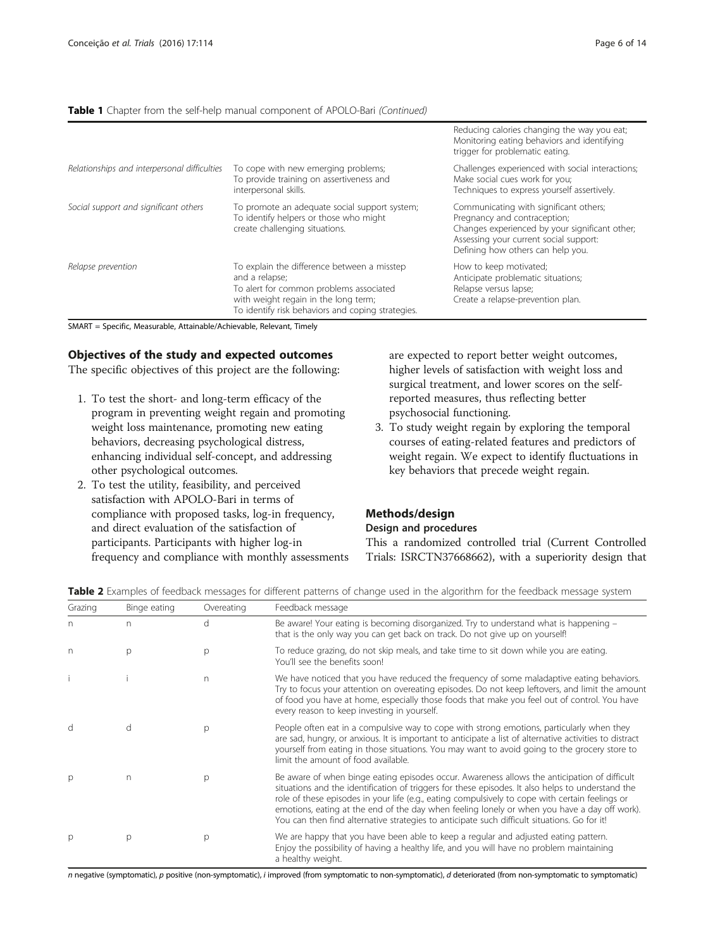#### <span id="page-5-0"></span>Table 1 Chapter from the self-help manual component of APOLO-Bari (Continued)

|                                              |                                                                                                                                                                                                       | Monitoring eating behaviors and identifying<br>trigger for problematic eating.                                                                                                                          |  |  |
|----------------------------------------------|-------------------------------------------------------------------------------------------------------------------------------------------------------------------------------------------------------|---------------------------------------------------------------------------------------------------------------------------------------------------------------------------------------------------------|--|--|
| Relationships and interpersonal difficulties | To cope with new emerging problems;<br>To provide training on assertiveness and<br>interpersonal skills.                                                                                              | Challenges experienced with social interactions;<br>Make social cues work for you;<br>Techniques to express yourself assertively.                                                                       |  |  |
| Social support and significant others        | To promote an adequate social support system;<br>To identify helpers or those who might<br>create challenging situations.                                                                             | Communicating with significant others;<br>Pregnancy and contraception;<br>Changes experienced by your significant other;<br>Assessing your current social support:<br>Defining how others can help you. |  |  |
| Relapse prevention                           | To explain the difference between a misstep<br>and a relapse;<br>To alert for common problems associated<br>with weight regain in the long term;<br>To identify risk behaviors and coping strategies. | How to keep motivated;<br>Anticipate problematic situations;<br>Relapse versus lapse;<br>Create a relapse-prevention plan.                                                                              |  |  |

SMART = Specific, Measurable, Attainable/Achievable, Relevant, Timely

## Objectives of the study and expected outcomes

The specific objectives of this project are the following:

- 1. To test the short- and long-term efficacy of the program in preventing weight regain and promoting weight loss maintenance, promoting new eating behaviors, decreasing psychological distress, enhancing individual self-concept, and addressing other psychological outcomes.
- 2. To test the utility, feasibility, and perceived satisfaction with APOLO-Bari in terms of compliance with proposed tasks, log-in frequency, and direct evaluation of the satisfaction of participants. Participants with higher log-in frequency and compliance with monthly assessments

are expected to report better weight outcomes, higher levels of satisfaction with weight loss and surgical treatment, and lower scores on the selfreported measures, thus reflecting better psychosocial functioning.

Reducing calories changing the way you eat;

3. To study weight regain by exploring the temporal courses of eating-related features and predictors of weight regain. We expect to identify fluctuations in key behaviors that precede weight regain.

## Methods/design

#### Design and procedures

This a randomized controlled trial (Current Controlled Trials: ISRCTN37668662), with a superiority design that

| Grazing  | Binge eating | Overeating | Feedback message                                                                                                                                                                                                                                                                                                                                                                                                                                                                                     |  |  |  |
|----------|--------------|------------|------------------------------------------------------------------------------------------------------------------------------------------------------------------------------------------------------------------------------------------------------------------------------------------------------------------------------------------------------------------------------------------------------------------------------------------------------------------------------------------------------|--|--|--|
| n        | n            | d          | Be aware! Your eating is becoming disorganized. Try to understand what is happening -<br>that is the only way you can get back on track. Do not give up on yourself!                                                                                                                                                                                                                                                                                                                                 |  |  |  |
| $\Gamma$ | D            | р          | To reduce grazing, do not skip meals, and take time to sit down while you are eating.<br>You'll see the benefits soon!                                                                                                                                                                                                                                                                                                                                                                               |  |  |  |
|          |              | n          | We have noticed that you have reduced the frequency of some maladaptive eating behaviors.<br>Try to focus your attention on overeating episodes. Do not keep leftovers, and limit the amount<br>of food you have at home, especially those foods that make you feel out of control. You have<br>every reason to keep investing in yourself.                                                                                                                                                          |  |  |  |
| d        | d            | р          | People often eat in a compulsive way to cope with strong emotions, particularly when they<br>are sad, hungry, or anxious. It is important to anticipate a list of alternative activities to distract<br>yourself from eating in those situations. You may want to avoid going to the grocery store to<br>limit the amount of food available.                                                                                                                                                         |  |  |  |
| p        | n            | p          | Be aware of when binge eating episodes occur. Awareness allows the anticipation of difficult<br>situations and the identification of triggers for these episodes. It also helps to understand the<br>role of these episodes in your life (e.g., eating compulsively to cope with certain feelings or<br>emotions, eating at the end of the day when feeling lonely or when you have a day off work).<br>You can then find alternative strategies to anticipate such difficult situations. Go for it! |  |  |  |
| p        | р            | р          | We are happy that you have been able to keep a regular and adjusted eating pattern.<br>Enjoy the possibility of having a healthy life, and you will have no problem maintaining<br>a healthy weight.                                                                                                                                                                                                                                                                                                 |  |  |  |

Table 2 Examples of feedback messages for different patterns of change used in the algorithm for the feedback message system

n negative (symptomatic), p positive (non-symptomatic), i improved (from symptomatic to non-symptomatic), d deteriorated (from non-symptomatic to symptomatic)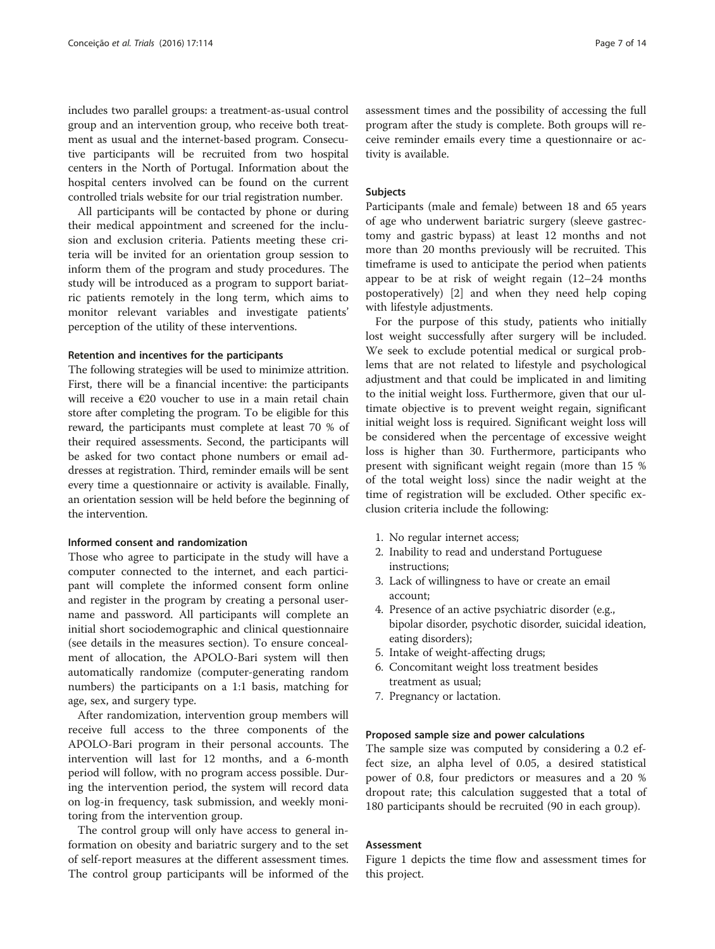includes two parallel groups: a treatment-as-usual control group and an intervention group, who receive both treatment as usual and the internet-based program. Consecutive participants will be recruited from two hospital centers in the North of Portugal. Information about the hospital centers involved can be found on the current controlled trials website for our trial registration number.

All participants will be contacted by phone or during their medical appointment and screened for the inclusion and exclusion criteria. Patients meeting these criteria will be invited for an orientation group session to inform them of the program and study procedures. The study will be introduced as a program to support bariatric patients remotely in the long term, which aims to monitor relevant variables and investigate patients' perception of the utility of these interventions.

#### Retention and incentives for the participants

The following strategies will be used to minimize attrition. First, there will be a financial incentive: the participants will receive a €20 voucher to use in a main retail chain store after completing the program. To be eligible for this reward, the participants must complete at least 70 % of their required assessments. Second, the participants will be asked for two contact phone numbers or email addresses at registration. Third, reminder emails will be sent every time a questionnaire or activity is available. Finally, an orientation session will be held before the beginning of the intervention.

#### Informed consent and randomization

Those who agree to participate in the study will have a computer connected to the internet, and each participant will complete the informed consent form online and register in the program by creating a personal username and password. All participants will complete an initial short sociodemographic and clinical questionnaire (see details in the measures section). To ensure concealment of allocation, the APOLO-Bari system will then automatically randomize (computer-generating random numbers) the participants on a 1:1 basis, matching for age, sex, and surgery type.

After randomization, intervention group members will receive full access to the three components of the APOLO-Bari program in their personal accounts. The intervention will last for 12 months, and a 6-month period will follow, with no program access possible. During the intervention period, the system will record data on log-in frequency, task submission, and weekly monitoring from the intervention group.

The control group will only have access to general information on obesity and bariatric surgery and to the set of self-report measures at the different assessment times. The control group participants will be informed of the assessment times and the possibility of accessing the full program after the study is complete. Both groups will receive reminder emails every time a questionnaire or activity is available.

#### Subjects

Participants (male and female) between 18 and 65 years of age who underwent bariatric surgery (sleeve gastrectomy and gastric bypass) at least 12 months and not more than 20 months previously will be recruited. This timeframe is used to anticipate the period when patients appear to be at risk of weight regain (12–24 months postoperatively) [\[2](#page-12-0)] and when they need help coping with lifestyle adjustments.

For the purpose of this study, patients who initially lost weight successfully after surgery will be included. We seek to exclude potential medical or surgical problems that are not related to lifestyle and psychological adjustment and that could be implicated in and limiting to the initial weight loss. Furthermore, given that our ultimate objective is to prevent weight regain, significant initial weight loss is required. Significant weight loss will be considered when the percentage of excessive weight loss is higher than 30. Furthermore, participants who present with significant weight regain (more than 15 % of the total weight loss) since the nadir weight at the time of registration will be excluded. Other specific exclusion criteria include the following:

- 1. No regular internet access;
- 2. Inability to read and understand Portuguese instructions;
- 3. Lack of willingness to have or create an email account;
- 4. Presence of an active psychiatric disorder (e.g., bipolar disorder, psychotic disorder, suicidal ideation, eating disorders);
- 5. Intake of weight-affecting drugs;
- 6. Concomitant weight loss treatment besides treatment as usual;
- 7. Pregnancy or lactation.

#### Proposed sample size and power calculations

The sample size was computed by considering a 0.2 effect size, an alpha level of 0.05, a desired statistical power of 0.8, four predictors or measures and a 20 % dropout rate; this calculation suggested that a total of 180 participants should be recruited (90 in each group).

#### Assessment

Figure [1](#page-7-0) depicts the time flow and assessment times for this project.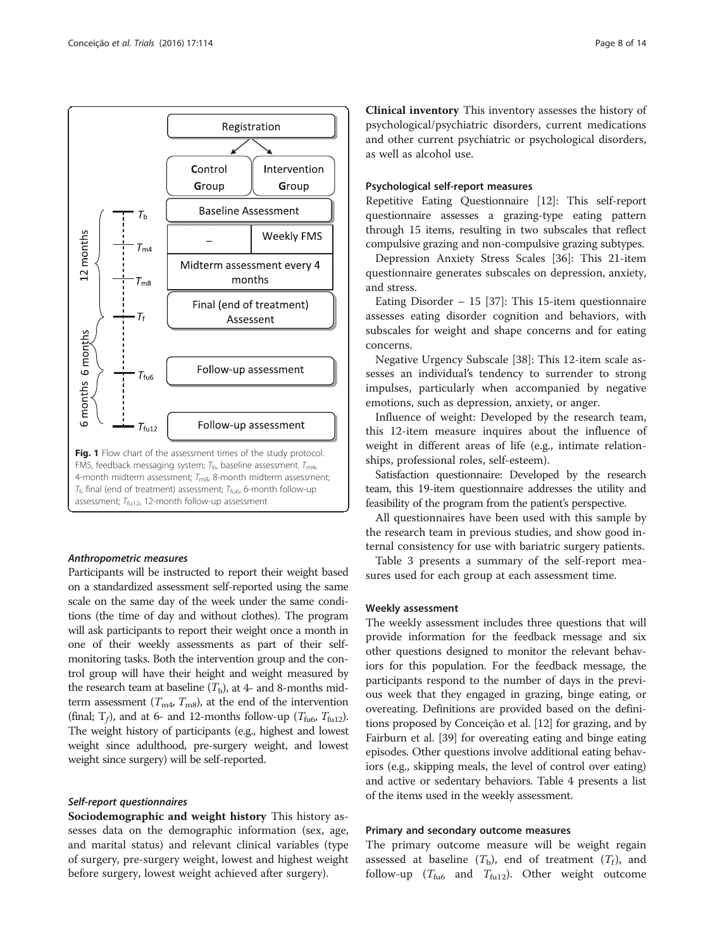<span id="page-7-0"></span>

#### Anthropometric measures

Participants will be instructed to report their weight based on a standardized assessment self-reported using the same scale on the same day of the week under the same conditions (the time of day and without clothes). The program will ask participants to report their weight once a month in one of their weekly assessments as part of their selfmonitoring tasks. Both the intervention group and the control group will have their height and weight measured by the research team at baseline  $(T<sub>b</sub>)$ , at 4- and 8-months midterm assessment ( $T_{\text{m4}}$ ,  $T_{\text{m8}}$ ), at the end of the intervention (final;  $T_f$ ), and at 6- and 12-months follow-up ( $T_{\text{fu6}}$ ,  $T_{\text{fu12}}$ ). The weight history of participants (e.g., highest and lowest weight since adulthood, pre-surgery weight, and lowest weight since surgery) will be self-reported.

#### Self-report questionnaires

Sociodemographic and weight history This history assesses data on the demographic information (sex, age, and marital status) and relevant clinical variables (type of surgery, pre-surgery weight, lowest and highest weight before surgery, lowest weight achieved after surgery).

Clinical inventory This inventory assesses the history of psychological/psychiatric disorders, current medications and other current psychiatric or psychological disorders, as well as alcohol use.

#### Psychological self-report measures

Repetitive Eating Questionnaire [\[12](#page-12-0)]: This self-report questionnaire assesses a grazing-type eating pattern through 15 items, resulting in two subscales that reflect compulsive grazing and non-compulsive grazing subtypes.

Depression Anxiety Stress Scales [[36\]](#page-12-0): This 21-item questionnaire generates subscales on depression, anxiety, and stress.

Eating Disorder – 15 [\[37](#page-12-0)]: This 15-item questionnaire assesses eating disorder cognition and behaviors, with subscales for weight and shape concerns and for eating concerns.

Negative Urgency Subscale [[38\]](#page-12-0): This 12-item scale assesses an individual's tendency to surrender to strong impulses, particularly when accompanied by negative emotions, such as depression, anxiety, or anger.

Influence of weight: Developed by the research team, this 12-item measure inquires about the influence of weight in different areas of life (e.g., intimate relationships, professional roles, self-esteem).

Satisfaction questionnaire: Developed by the research team, this 19-item questionnaire addresses the utility and feasibility of the program from the patient's perspective.

All questionnaires have been used with this sample by the research team in previous studies, and show good internal consistency for use with bariatric surgery patients.

Table [3](#page-8-0) presents a summary of the self-report measures used for each group at each assessment time.

#### Weekly assessment

The weekly assessment includes three questions that will provide information for the feedback message and six other questions designed to monitor the relevant behaviors for this population. For the feedback message, the participants respond to the number of days in the previous week that they engaged in grazing, binge eating, or overeating. Definitions are provided based on the definitions proposed by Conceição et al. [\[12\]](#page-12-0) for grazing, and by Fairburn et al. [\[39\]](#page-12-0) for overeating eating and binge eating episodes. Other questions involve additional eating behaviors (e.g., skipping meals, the level of control over eating) and active or sedentary behaviors. Table [4](#page-9-0) presents a list of the items used in the weekly assessment.

#### Primary and secondary outcome measures

The primary outcome measure will be weight regain assessed at baseline  $(T<sub>b</sub>)$ , end of treatment  $(T<sub>f</sub>)$ , and follow-up ( $T_{\text{fu6}}$  and  $T_{\text{fu12}}$ ). Other weight outcome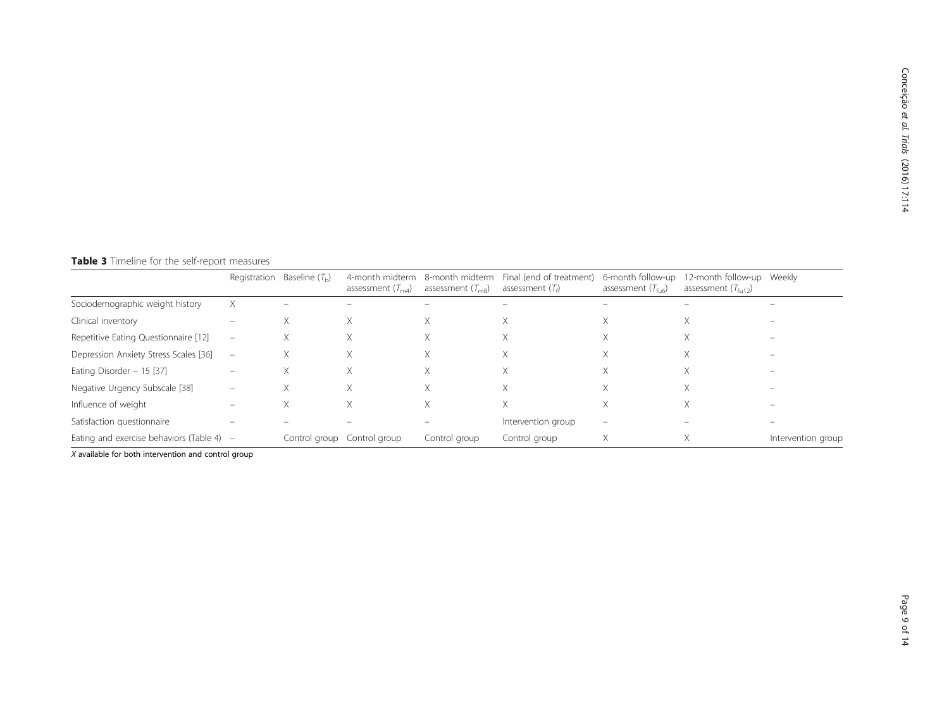<span id="page-8-0"></span>

| Table 3 Timeline for the self-report measures |  |
|-----------------------------------------------|--|
|-----------------------------------------------|--|

|                                             | Registration                    | Baseline $(T_h)$ | 4-month midterm<br>assessment $(T_{\text{m4}})$ | 8-month midterm<br>assessment $(T_{\text{mg}})$ | Final (end of treatment)<br>assessment $(T_f)$ | 6-month follow-up<br>assessment $(T_{\text{fu6}})$ | 12-month follow-up Weekly<br>assessment $(T_{\text{ful}})$ |                    |
|---------------------------------------------|---------------------------------|------------------|-------------------------------------------------|-------------------------------------------------|------------------------------------------------|----------------------------------------------------|------------------------------------------------------------|--------------------|
| Sociodemographic weight history             | X.                              |                  |                                                 |                                                 |                                                |                                                    |                                                            |                    |
| Clinical inventory                          |                                 | X.               | $\wedge$                                        | Χ                                               | ∧                                              | X                                                  | $\wedge$                                                   |                    |
| Repetitive Eating Questionnaire [12]        | $\qquad \qquad =$               | X                | $\wedge$                                        | X                                               | ∧                                              | X                                                  | X                                                          |                    |
| Depression Anxiety Stress Scales [36]       | $\overline{\phantom{m}}$        | X.               |                                                 | X                                               | X.                                             | X                                                  | X                                                          |                    |
| Eating Disorder - 15 [37]                   | $\overline{\phantom{a}}$        | Χ                | X.                                              | X                                               | X.                                             | X                                                  | X                                                          |                    |
| Negative Urgency Subscale [38]              | $\hspace{0.1mm}-\hspace{0.1mm}$ | X                | X.                                              | X                                               | X.                                             | X                                                  | X                                                          |                    |
| Influence of weight                         |                                 | X.               | Χ                                               | X                                               | X.                                             | X                                                  | X                                                          |                    |
| Satisfaction questionnaire                  |                                 |                  |                                                 |                                                 | Intervention group                             | $\overline{\phantom{a}}$                           |                                                            |                    |
| Eating and exercise behaviors (Table 4) $-$ |                                 |                  | Control group Control group                     | Control group                                   | Control group                                  | Χ                                                  | X                                                          | Intervention group |

 $\overline{X}$  available for both intervention and control group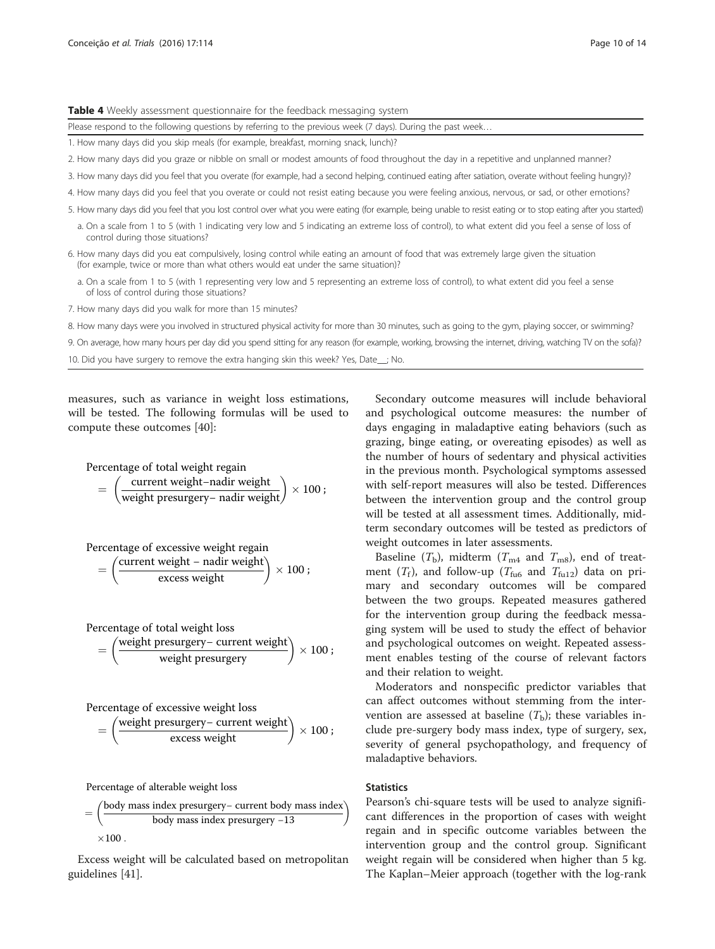<span id="page-9-0"></span>Table 4 Weekly assessment questionnaire for the feedback messaging system

| Please respond to the following questions by referring to the previous week (7 days). During the past week                           |  |  |  |
|--------------------------------------------------------------------------------------------------------------------------------------|--|--|--|
| 1. How many days did you skip meals (for example, breakfast, morning snack, lunch)?                                                  |  |  |  |
| 2. How many days did you graze or nibble on small or modest amounts of food throughout the day in a repetitive and unplanned manner? |  |  |  |

- 3. How many days did you feel that you overate (for example, had a second helping, continued eating after satiation, overate without feeling hungry)?
- 4. How many days did you feel that you overate or could not resist eating because you were feeling anxious, nervous, or sad, or other emotions?
- 5. How many days did you feel that you lost control over what you were eating (for example, being unable to resist eating or to stop eating after you started) a. On a scale from 1 to 5 (with 1 indicating very low and 5 indicating an extreme loss of control), to what extent did you feel a sense of loss of
- control during those situations? 6. How many days did you eat compulsively, losing control while eating an amount of food that was extremely large given the situation
- (for example, twice or more than what others would eat under the same situation)?
- a. On a scale from 1 to 5 (with 1 representing very low and 5 representing an extreme loss of control), to what extent did you feel a sense of loss of control during those situations?
- 7. How many days did you walk for more than 15 minutes?

8. How many days were you involved in structured physical activity for more than 30 minutes, such as going to the gym, playing soccer, or swimming?

9. On average, how many hours per day did you spend sitting for any reason (for example, working, browsing the internet, driving, watching TV on the sofa)? 10. Did you have surgery to remove the extra hanging skin this week? Yes, Date\_; No.

measures, such as variance in weight loss estimations, will be tested. The following formulas will be used to compute these outcomes [\[40\]](#page-12-0):

Percentage of total weight regain

$$
= \left( \frac{\text{current weight-nadir weight}}{\text{weight preserving}} \right) \times 100;
$$

Percentage of excessive weight region  
= 
$$
\left(\frac{\text{current weight} - \text{nadir weight}}{\text{excess weight}}\right) \times 100
$$
;

$$
Percentage of total weight loss = \left(\frac{\text{weight preserving}}{\text{weight preserving}}\right) \times 100;
$$

Percentage of excessive weight loss

$$
= \left( \frac{\text{weight preserving}}{\text{excess weight}} \right) \times 100;
$$

Percentage of alterable weight loss

$$
= \left( \frac{\text{body mass index preservingery}-\text{current body mass index}}{\text{body mass index preserving}+13} \right)
$$
  
×100 .

Excess weight will be calculated based on metropolitan guidelines [[41](#page--1-0)].

Secondary outcome measures will include behavioral and psychological outcome measures: the number of days engaging in maladaptive eating behaviors (such as grazing, binge eating, or overeating episodes) as well as the number of hours of sedentary and physical activities in the previous month. Psychological symptoms assessed with self-report measures will also be tested. Differences between the intervention group and the control group will be tested at all assessment times. Additionally, midterm secondary outcomes will be tested as predictors of weight outcomes in later assessments.

Baseline  $(T_b)$ , midterm  $(T_{m4}$  and  $T_{m8}$ ), end of treatment  $(T_f)$ , and follow-up  $(T_{fuf}$  and  $T_{fuf2})$  data on primary and secondary outcomes will be compared between the two groups. Repeated measures gathered for the intervention group during the feedback messaging system will be used to study the effect of behavior and psychological outcomes on weight. Repeated assessment enables testing of the course of relevant factors and their relation to weight.

Moderators and nonspecific predictor variables that can affect outcomes without stemming from the intervention are assessed at baseline  $(T<sub>b</sub>)$ ; these variables include pre-surgery body mass index, type of surgery, sex, severity of general psychopathology, and frequency of maladaptive behaviors.

#### **Statistics**

Pearson's chi-square tests will be used to analyze significant differences in the proportion of cases with weight regain and in specific outcome variables between the intervention group and the control group. Significant weight regain will be considered when higher than 5 kg. The Kaplan–Meier approach (together with the log-rank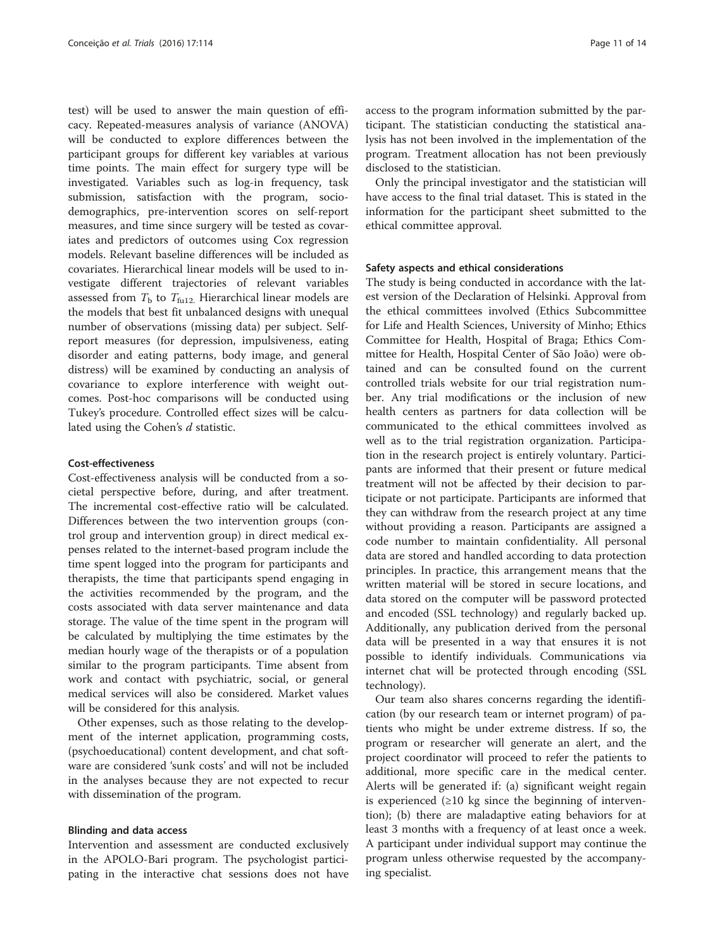test) will be used to answer the main question of efficacy. Repeated-measures analysis of variance (ANOVA) will be conducted to explore differences between the participant groups for different key variables at various time points. The main effect for surgery type will be investigated. Variables such as log-in frequency, task submission, satisfaction with the program, sociodemographics, pre-intervention scores on self-report measures, and time since surgery will be tested as covariates and predictors of outcomes using Cox regression models. Relevant baseline differences will be included as covariates. Hierarchical linear models will be used to investigate different trajectories of relevant variables assessed from  $T<sub>b</sub>$  to  $T<sub>fu12</sub>$ . Hierarchical linear models are the models that best fit unbalanced designs with unequal number of observations (missing data) per subject. Selfreport measures (for depression, impulsiveness, eating disorder and eating patterns, body image, and general distress) will be examined by conducting an analysis of covariance to explore interference with weight outcomes. Post-hoc comparisons will be conducted using Tukey's procedure. Controlled effect sizes will be calculated using the Cohen's d statistic.

#### Cost-effectiveness

Cost-effectiveness analysis will be conducted from a societal perspective before, during, and after treatment. The incremental cost-effective ratio will be calculated. Differences between the two intervention groups (control group and intervention group) in direct medical expenses related to the internet-based program include the time spent logged into the program for participants and therapists, the time that participants spend engaging in the activities recommended by the program, and the costs associated with data server maintenance and data storage. The value of the time spent in the program will be calculated by multiplying the time estimates by the median hourly wage of the therapists or of a population similar to the program participants. Time absent from work and contact with psychiatric, social, or general medical services will also be considered. Market values will be considered for this analysis.

Other expenses, such as those relating to the development of the internet application, programming costs, (psychoeducational) content development, and chat software are considered 'sunk costs' and will not be included in the analyses because they are not expected to recur with dissemination of the program.

#### Blinding and data access

Intervention and assessment are conducted exclusively in the APOLO-Bari program. The psychologist participating in the interactive chat sessions does not have access to the program information submitted by the participant. The statistician conducting the statistical analysis has not been involved in the implementation of the program. Treatment allocation has not been previously disclosed to the statistician.

Only the principal investigator and the statistician will have access to the final trial dataset. This is stated in the information for the participant sheet submitted to the ethical committee approval.

#### Safety aspects and ethical considerations

The study is being conducted in accordance with the latest version of the Declaration of Helsinki. Approval from the ethical committees involved (Ethics Subcommittee for Life and Health Sciences, University of Minho; Ethics Committee for Health, Hospital of Braga; Ethics Committee for Health, Hospital Center of São João) were obtained and can be consulted found on the current controlled trials website for our trial registration number. Any trial modifications or the inclusion of new health centers as partners for data collection will be communicated to the ethical committees involved as well as to the trial registration organization. Participation in the research project is entirely voluntary. Participants are informed that their present or future medical treatment will not be affected by their decision to participate or not participate. Participants are informed that they can withdraw from the research project at any time without providing a reason. Participants are assigned a code number to maintain confidentiality. All personal data are stored and handled according to data protection principles. In practice, this arrangement means that the written material will be stored in secure locations, and data stored on the computer will be password protected and encoded (SSL technology) and regularly backed up. Additionally, any publication derived from the personal data will be presented in a way that ensures it is not possible to identify individuals. Communications via internet chat will be protected through encoding (SSL technology).

Our team also shares concerns regarding the identification (by our research team or internet program) of patients who might be under extreme distress. If so, the program or researcher will generate an alert, and the project coordinator will proceed to refer the patients to additional, more specific care in the medical center. Alerts will be generated if: (a) significant weight regain is experienced  $(≥10 \text{ kg since the beginning of the interval})$ tion); (b) there are maladaptive eating behaviors for at least 3 months with a frequency of at least once a week. A participant under individual support may continue the program unless otherwise requested by the accompanying specialist.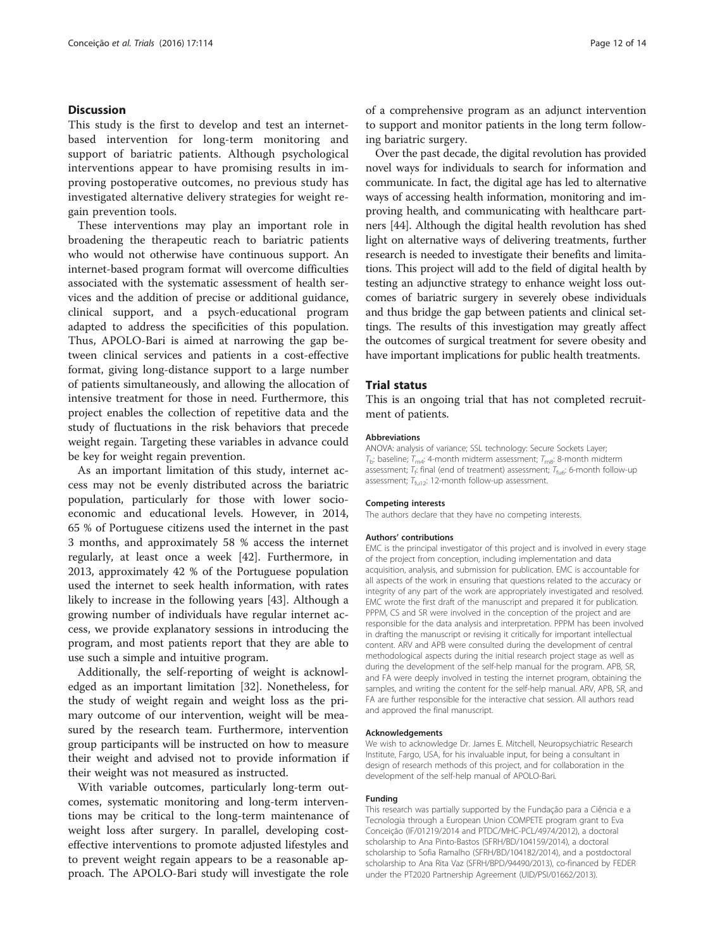#### **Discussion**

This study is the first to develop and test an internetbased intervention for long-term monitoring and support of bariatric patients. Although psychological interventions appear to have promising results in improving postoperative outcomes, no previous study has investigated alternative delivery strategies for weight regain prevention tools.

These interventions may play an important role in broadening the therapeutic reach to bariatric patients who would not otherwise have continuous support. An internet-based program format will overcome difficulties associated with the systematic assessment of health services and the addition of precise or additional guidance, clinical support, and a psych-educational program adapted to address the specificities of this population. Thus, APOLO-Bari is aimed at narrowing the gap between clinical services and patients in a cost-effective format, giving long-distance support to a large number of patients simultaneously, and allowing the allocation of intensive treatment for those in need. Furthermore, this project enables the collection of repetitive data and the study of fluctuations in the risk behaviors that precede weight regain. Targeting these variables in advance could be key for weight regain prevention.

As an important limitation of this study, internet access may not be evenly distributed across the bariatric population, particularly for those with lower socioeconomic and educational levels. However, in 2014, 65 % of Portuguese citizens used the internet in the past 3 months, and approximately 58 % access the internet regularly, at least once a week [[42\]](#page--1-0). Furthermore, in 2013, approximately 42 % of the Portuguese population used the internet to seek health information, with rates likely to increase in the following years [[43\]](#page--1-0). Although a growing number of individuals have regular internet access, we provide explanatory sessions in introducing the program, and most patients report that they are able to use such a simple and intuitive program.

Additionally, the self-reporting of weight is acknowledged as an important limitation [\[32](#page-12-0)]. Nonetheless, for the study of weight regain and weight loss as the primary outcome of our intervention, weight will be measured by the research team. Furthermore, intervention group participants will be instructed on how to measure their weight and advised not to provide information if their weight was not measured as instructed.

With variable outcomes, particularly long-term outcomes, systematic monitoring and long-term interventions may be critical to the long-term maintenance of weight loss after surgery. In parallel, developing costeffective interventions to promote adjusted lifestyles and to prevent weight regain appears to be a reasonable approach. The APOLO-Bari study will investigate the role

of a comprehensive program as an adjunct intervention to support and monitor patients in the long term following bariatric surgery.

Over the past decade, the digital revolution has provided novel ways for individuals to search for information and communicate. In fact, the digital age has led to alternative ways of accessing health information, monitoring and improving health, and communicating with healthcare partners [\[44\]](#page--1-0). Although the digital health revolution has shed light on alternative ways of delivering treatments, further research is needed to investigate their benefits and limitations. This project will add to the field of digital health by testing an adjunctive strategy to enhance weight loss outcomes of bariatric surgery in severely obese individuals and thus bridge the gap between patients and clinical settings. The results of this investigation may greatly affect the outcomes of surgical treatment for severe obesity and have important implications for public health treatments.

#### Trial status

This is an ongoing trial that has not completed recruitment of patients.

#### **Abbreviations**

ANOVA: analysis of variance; SSL technology: Secure Sockets Layer;  $T_{\rm b}$ : baseline;  $T_{\rm m4}$ : 4-month midterm assessment;  $T_{\rm m8}$ : 8-month midterm assessment;  $T_f$ : final (end of treatment) assessment;  $T_{f\cup 6}$ : 6-month follow-up assessment;  $T_{\text{fu12}}$ : 12-month follow-up assessment.

#### Competing interests

The authors declare that they have no competing interests.

#### Authors' contributions

EMC is the principal investigator of this project and is involved in every stage of the project from conception, including implementation and data acquisition, analysis, and submission for publication. EMC is accountable for all aspects of the work in ensuring that questions related to the accuracy or integrity of any part of the work are appropriately investigated and resolved. EMC wrote the first draft of the manuscript and prepared it for publication. PPPM, CS and SR were involved in the conception of the project and are responsible for the data analysis and interpretation. PPPM has been involved in drafting the manuscript or revising it critically for important intellectual content. ARV and APB were consulted during the development of central methodological aspects during the initial research project stage as well as during the development of the self-help manual for the program. APB, SR, and FA were deeply involved in testing the internet program, obtaining the samples, and writing the content for the self-help manual. ARV, APB, SR, and FA are further responsible for the interactive chat session. All authors read and approved the final manuscript.

#### Acknowledgements

We wish to acknowledge Dr. James E. Mitchell, Neuropsychiatric Research Institute, Fargo, USA, for his invaluable input, for being a consultant in design of research methods of this project, and for collaboration in the development of the self-help manual of APOLO-Bari.

#### Funding

This research was partially supported by the Fundação para a Ciência e a Tecnologia through a European Union COMPETE program grant to Eva Conceição (IF/01219/2014 and PTDC/MHC-PCL/4974/2012), a doctoral scholarship to Ana Pinto-Bastos (SFRH/BD/104159/2014), a doctoral scholarship to Sofia Ramalho (SFRH/BD/104182/2014), and a postdoctoral scholarship to Ana Rita Vaz (SFRH/BPD/94490/2013), co-financed by FEDER under the PT2020 Partnership Agreement (UID/PSI/01662/2013).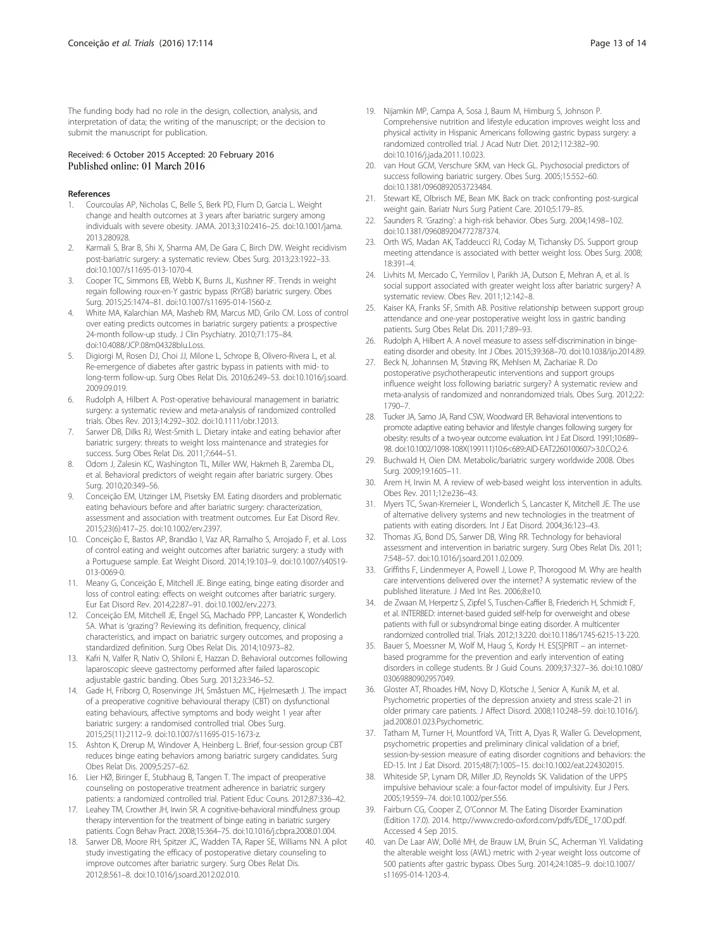<span id="page-12-0"></span>The funding body had no role in the design, collection, analysis, and interpretation of data; the writing of the manuscript; or the decision to submit the manuscript for publication.

#### Received: 6 October 2015 Accepted: 20 February 2016 Published online: 01 March 2016

#### References

- 1. Courcoulas AP, Nicholas C, Belle S, Berk PD, Flum D, Garcia L. Weight change and health outcomes at 3 years after bariatric surgery among individuals with severe obesity. JAMA. 2013;310:2416–25. doi[:10.1001/jama.](http://dx.doi.org/10.1001/jama.2013.280928) [2013.280928](http://dx.doi.org/10.1001/jama.2013.280928).
- Karmali S, Brar B, Shi X, Sharma AM, De Gara C, Birch DW. Weight recidivism post-bariatric surgery: a systematic review. Obes Surg. 2013;23:1922–33. doi[:10.1007/s11695-013-1070-4](http://dx.doi.org/10.1007/s11695-013-1070-4).
- 3. Cooper TC, Simmons EB, Webb K, Burns JL, Kushner RF. Trends in weight regain following roux-en-Y gastric bypass (RYGB) bariatric surgery. Obes Surg. 2015;25:1474–81. doi[:10.1007/s11695-014-1560-z](http://dx.doi.org/10.1007/s11695-014-1560-z).
- 4. White MA, Kalarchian MA, Masheb RM, Marcus MD, Grilo CM. Loss of control over eating predicts outcomes in bariatric surgery patients: a prospective 24-month follow-up study. J Clin Psychiatry. 2010;71:175–84. doi[:10.4088/JCP.08m04328blu.Loss](http://dx.doi.org/10.4088/JCP.08m04328blu.Loss).
- 5. Digiorgi M, Rosen DJ, Choi JJ, Milone L, Schrope B, Olivero-Rivera L, et al. Re-emergence of diabetes after gastric bypass in patients with mid- to long-term follow-up. Surg Obes Relat Dis. 2010;6:249–53. doi[:10.1016/j.soard.](http://dx.doi.org/10.1016/j.soard.2009.09.019) [2009.09.019.](http://dx.doi.org/10.1016/j.soard.2009.09.019)
- 6. Rudolph A, Hilbert A. Post-operative behavioural management in bariatric surgery: a systematic review and meta-analysis of randomized controlled trials. Obes Rev. 2013;14:292–302. doi:[10.1111/obr.12013.](http://dx.doi.org/10.1111/obr.12013)
- 7. Sarwer DB, Dilks RJ, West-Smith L. Dietary intake and eating behavior after bariatric surgery: threats to weight loss maintenance and strategies for success. Surg Obes Relat Dis. 2011;7:644–51.
- Odom J, Zalesin KC, Washington TL, Miller WW, Hakmeh B, Zaremba DL, et al. Behavioral predictors of weight regain after bariatric surgery. Obes Surg. 2010;20:349–56.
- 9. Conceição EM, Utzinger LM, Pisetsky EM. Eating disorders and problematic eating behaviours before and after bariatric surgery: characterization, assessment and association with treatment outcomes. Eur Eat Disord Rev. 2015;23(6):417–25. doi:[10.1002/erv.2397.](http://dx.doi.org/10.1002/erv.2397)
- 10. Conceição E, Bastos AP, Brandão I, Vaz AR, Ramalho S, Arrojado F, et al. Loss of control eating and weight outcomes after bariatric surgery: a study with a Portuguese sample. Eat Weight Disord. 2014;19:103–9. doi:[10.1007/s40519-](http://dx.doi.org/10.1007/s40519-013-0069-0) [013-0069-0](http://dx.doi.org/10.1007/s40519-013-0069-0).
- 11. Meany G, Conceição E, Mitchell JE. Binge eating, binge eating disorder and loss of control eating: effects on weight outcomes after bariatric surgery. Eur Eat Disord Rev. 2014;22:87–91. doi[:10.1002/erv.2273.](http://dx.doi.org/10.1002/erv.2273)
- 12. Conceição EM, Mitchell JE, Engel SG, Machado PPP, Lancaster K, Wonderlich SA. What is 'grazing'? Reviewing its definition, frequency, clinical characteristics, and impact on bariatric surgery outcomes, and proposing a standardized definition. Surg Obes Relat Dis. 2014;10:973–82.
- 13. Kafri N, Valfer R, Nativ O, Shiloni E, Hazzan D. Behavioral outcomes following laparoscopic sleeve gastrectomy performed after failed laparoscopic adjustable gastric banding. Obes Surg. 2013;23:346–52.
- 14. Gade H, Friborg O, Rosenvinge JH, Småstuen MC, Hjelmesæth J. The impact of a preoperative cognitive behavioural therapy (CBT) on dysfunctional eating behaviours, affective symptoms and body weight 1 year after bariatric surgery: a randomised controlled trial. Obes Surg. 2015;25(11):2112–9. doi[:10.1007/s11695-015-1673-z](http://dx.doi.org/10.1007/s11695-015-1673-z).
- 15. Ashton K, Drerup M, Windover A, Heinberg L. Brief, four-session group CBT reduces binge eating behaviors among bariatric surgery candidates. Surg Obes Relat Dis. 2009;5:257–62.
- 16. Lier HØ, Biringer E, Stubhaug B, Tangen T. The impact of preoperative counseling on postoperative treatment adherence in bariatric surgery patients: a randomized controlled trial. Patient Educ Couns. 2012;87:336–42.
- 17. Leahey TM, Crowther JH, Irwin SR. A cognitive-behavioral mindfulness group therapy intervention for the treatment of binge eating in bariatric surgery patients. Cogn Behav Pract. 2008;15:364–75. doi[:10.1016/j.cbpra.2008.01.004.](http://dx.doi.org/10.1016/j.cbpra.2008.01.004)
- 18. Sarwer DB, Moore RH, Spitzer JC, Wadden TA, Raper SE, Williams NN. A pilot study investigating the efficacy of postoperative dietary counseling to improve outcomes after bariatric surgery. Surg Obes Relat Dis. 2012;8:561–8. doi:[10.1016/j.soard.2012.02.010.](http://dx.doi.org/10.1016/j.soard.2012.02.010)
- 19. Nijamkin MP, Campa A, Sosa J, Baum M, Himburg S, Johnson P. Comprehensive nutrition and lifestyle education improves weight loss and physical activity in Hispanic Americans following gastric bypass surgery: a randomized controlled trial. J Acad Nutr Diet. 2012;112:382–90. doi[:10.1016/j.jada.2011.10.023.](http://dx.doi.org/10.1016/j.jada.2011.10.023)
- 20. van Hout GCM, Verschure SKM, van Heck GL. Psychosocial predictors of success following bariatric surgery. Obes Surg. 2005;15:552–60. doi[:10.1381/0960892053723484.](http://dx.doi.org/10.1381/0960892053723484)
- 21. Stewart KE, Olbrisch ME, Bean MK. Back on track: confronting post-surgical weight gain. Bariatr Nurs Surg Patient Care. 2010;5:179–85.
- 22. Saunders R. 'Grazing': a high-risk behavior. Obes Surg. 2004;14:98–102. doi[:10.1381/096089204772787374.](http://dx.doi.org/10.1381/096089204772787374)
- 23. Orth WS, Madan AK, Taddeucci RJ, Coday M, Tichansky DS. Support group meeting attendance is associated with better weight loss. Obes Surg. 2008; 18:391–4.
- 24. Livhits M, Mercado C, Yermilov I, Parikh JA, Dutson E, Mehran A, et al. Is social support associated with greater weight loss after bariatric surgery? A systematic review. Obes Rev. 2011;12:142–8.
- 25. Kaiser KA, Franks SF, Smith AB. Positive relationship between support group attendance and one-year postoperative weight loss in gastric banding patients. Surg Obes Relat Dis. 2011;7:89–93.
- 26. Rudolph A, Hilbert A. A novel measure to assess self-discrimination in bingeeating disorder and obesity. Int J Obes. 2015;39:368–70. doi[:10.1038/ijo.2014.89](http://dx.doi.org/10.1038/ijo.2014.89).
- 27. Beck N, Johannsen M, Støving RK, Mehlsen M, Zachariae R. Do postoperative psychotherapeutic interventions and support groups influence weight loss following bariatric surgery? A systematic review and meta-analysis of randomized and nonrandomized trials. Obes Surg. 2012;22: 1790–7.
- 28. Tucker JA, Samo JA, Rand CSW, Woodward ER. Behavioral interventions to promote adaptive eating behavior and lifestyle changes following surgery for obesity: results of a two-year outcome evaluation. Int J Eat Disord. 1991;10:689– 98. doi:[10.1002/1098-108X\(199111\)10:6<689::AID-EAT2260100607>3.0.CO;2-6](http://dx.doi.org/10.1002/1098-108X(199111)10:6%3C689::AID-EAT2260100607%3E3.0.CO;2-6).
- 29. Buchwald H, Oien DM. Metabolic/bariatric surgery worldwide 2008. Obes Surg. 2009;19:1605–11.
- 30. Arem H, Irwin M. A review of web-based weight loss intervention in adults. Obes Rev. 2011;12:e236–43.
- 31. Myers TC, Swan-Kremeier L, Wonderlich S, Lancaster K, Mitchell JE. The use of alternative delivery systems and new technologies in the treatment of patients with eating disorders. Int J Eat Disord. 2004;36:123–43.
- 32. Thomas JG, Bond DS, Sarwer DB, Wing RR. Technology for behavioral assessment and intervention in bariatric surgery. Surg Obes Relat Dis. 2011; 7:548–57. doi:[10.1016/j.soard.2011.02.009](http://dx.doi.org/10.1016/j.soard.2011.02.009).
- 33. Griffiths F, Lindenmeyer A, Powell J, Lowe P, Thorogood M. Why are health care interventions delivered over the internet? A systematic review of the published literature. J Med Int Res. 2006;8:e10.
- 34. de Zwaan M, Herpertz S, Zipfel S, Tuschen-Caffier B, Friederich H, Schmidt F, et al. INTERBED: internet-based guided self-help for overweight and obese patients with full or subsyndromal binge eating disorder. A multicenter randomized controlled trial. Trials. 2012;13:220. doi[:10.1186/1745-6215-13-220.](http://dx.doi.org/10.1186/1745-6215-13-220)
- 35. Bauer S, Moessner M, Wolf M, Haug S, Kordy H. ES[S]PRIT an internetbased programme for the prevention and early intervention of eating disorders in college students. Br J Guid Couns. 2009;37:327–36. doi:[10.1080/](http://dx.doi.org/10.1080/03069880902957049) 03069880902957049
- 36. Gloster AT, Rhoades HM, Novy D, Klotsche J, Senior A, Kunik M, et al. Psychometric properties of the depression anxiety and stress scale-21 in older primary care patients. J Affect Disord. 2008;110:248–59. doi:[10.1016/j.](http://dx.doi.org/10.1016/j.jad.2008.01.023.Psychometric) [jad.2008.01.023.Psychometric.](http://dx.doi.org/10.1016/j.jad.2008.01.023.Psychometric)
- 37. Tatham M, Turner H, Mountford VA, Tritt A, Dyas R, Waller G. Development, psychometric properties and preliminary clinical validation of a brief, session-by-session measure of eating disorder cognitions and behaviors: the ED-15. Int J Eat Disord. 2015;48(7):1005–15. doi[:10.1002/eat.224302015.](http://dx.doi.org/10.1002/eat.224302015)
- 38. Whiteside SP, Lynam DR, Miller JD, Reynolds SK. Validation of the UPPS impulsive behaviour scale: a four-factor model of impulsivity. Eur J Pers. 2005;19:559–74. doi:[10.1002/per.556.](http://dx.doi.org/10.1002/per.556)
- 39. Fairburn CG, Cooper Z, O'Connor M. The Eating Disorder Examination (Edition 17.0). 2014. [http://www.credo-oxford.com/pdfs/EDE\\_17.0D.pdf.](http://www.credo-oxford.com/pdfs/EDE_17.0D.pdf) Accessed 4 Sep 2015.
- 40. van De Laar AW, Dollé MH, de Brauw LM, Bruin SC, Acherman YI. Validating the alterable weight loss (AWL) metric with 2-year weight loss outcome of 500 patients after gastric bypass. Obes Surg. 2014;24:1085–9. doi:[10.1007/](http://dx.doi.org/10.1007/s11695-014-1203-4) [s11695-014-1203-4.](http://dx.doi.org/10.1007/s11695-014-1203-4)